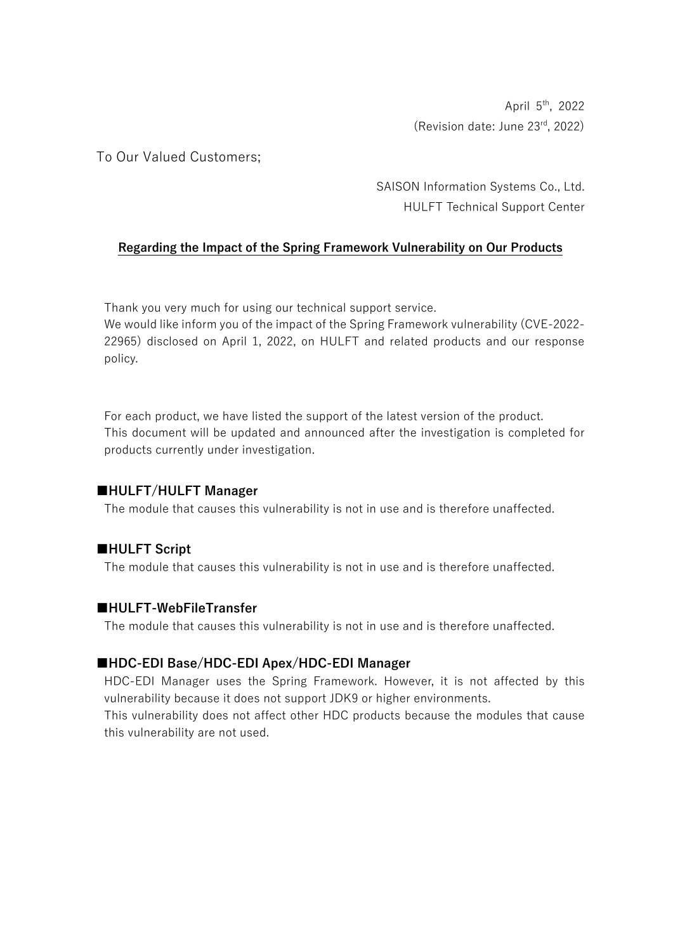April 5th, 2022 (Revision date: June 23rd, 2022)

To Our Valued Customers;

SAISON Information Systems Co., Ltd. HULFT Technical Support Center

# **Regarding the Impact of the Spring Framework Vulnerability on Our Products**

Thank you very much for using our technical support service.

We would like inform you of the impact of the Spring Framework vulnerability (CVE-2022- 22965) disclosed on April 1, 2022, on HULFT and related products and our response policy.

For each product, we have listed the support of the latest version of the product. This document will be updated and announced after the investigation is completed for products currently under investigation.

### **■HULFT/HULFT Manager**

The module that causes this vulnerability is not in use and is therefore unaffected.

### **■HULFT Script**

The module that causes this vulnerability is not in use and is therefore unaffected.

### **■HULFT-WebFileTransfer**

The module that causes this vulnerability is not in use and is therefore unaffected.

### **■HDC-EDI Base/HDC-EDI Apex/HDC-EDI Manager**

HDC-EDI Manager uses the Spring Framework. However, it is not affected by this vulnerability because it does not support JDK9 or higher environments.

This vulnerability does not affect other HDC products because the modules that cause this vulnerability are not used.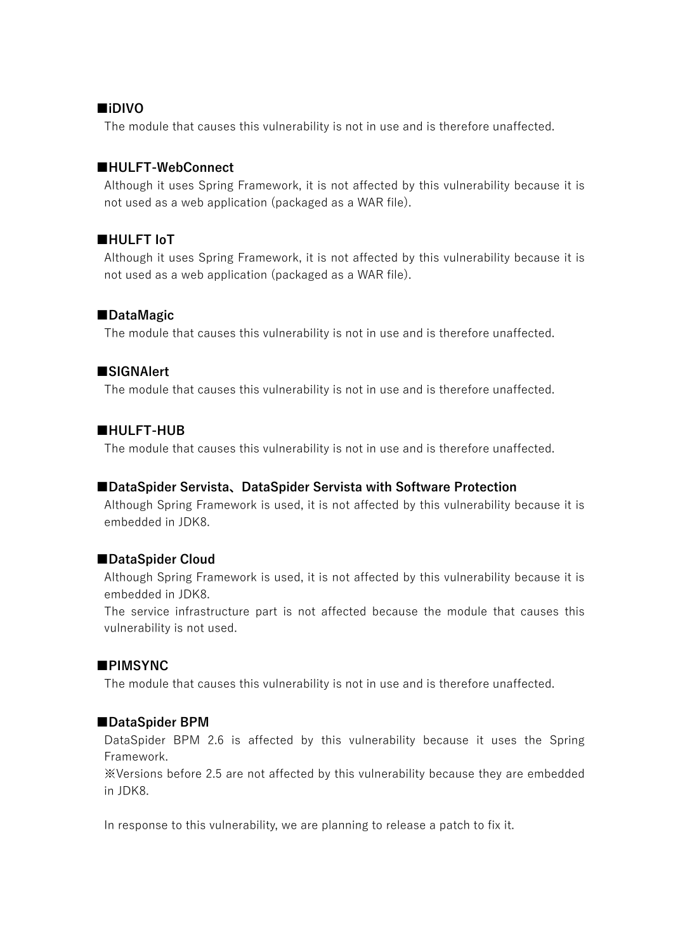#### **■iDIVO**

The module that causes this vulnerability is not in use and is therefore unaffected.

#### **■HULFT-WebConnect**

Although it uses Spring Framework, it is not affected by this vulnerability because it is not used as a web application (packaged as a WAR file).

#### **■HULFT IoT**

Although it uses Spring Framework, it is not affected by this vulnerability because it is not used as a web application (packaged as a WAR file).

#### **■DataMagic**

The module that causes this vulnerability is not in use and is therefore unaffected.

#### **■SIGNAlert**

The module that causes this vulnerability is not in use and is therefore unaffected.

#### **■HULFT-HUB**

The module that causes this vulnerability is not in use and is therefore unaffected.

#### **■DataSpider Servista、DataSpider Servista with Software Protection**

Although Spring Framework is used, it is not affected by this vulnerability because it is embedded in JDK8.

#### **■DataSpider Cloud**

Although Spring Framework is used, it is not affected by this vulnerability because it is embedded in JDK8.

The service infrastructure part is not affected because the module that causes this vulnerability is not used.

#### **■PIMSYNC**

The module that causes this vulnerability is not in use and is therefore unaffected.

#### **■DataSpider BPM**

DataSpider BPM 2.6 is affected by this vulnerability because it uses the Spring Framework.

※Versions before 2.5 are not affected by this vulnerability because they are embedded in JDK8.

In response to this vulnerability, we are planning to release a patch to fix it.